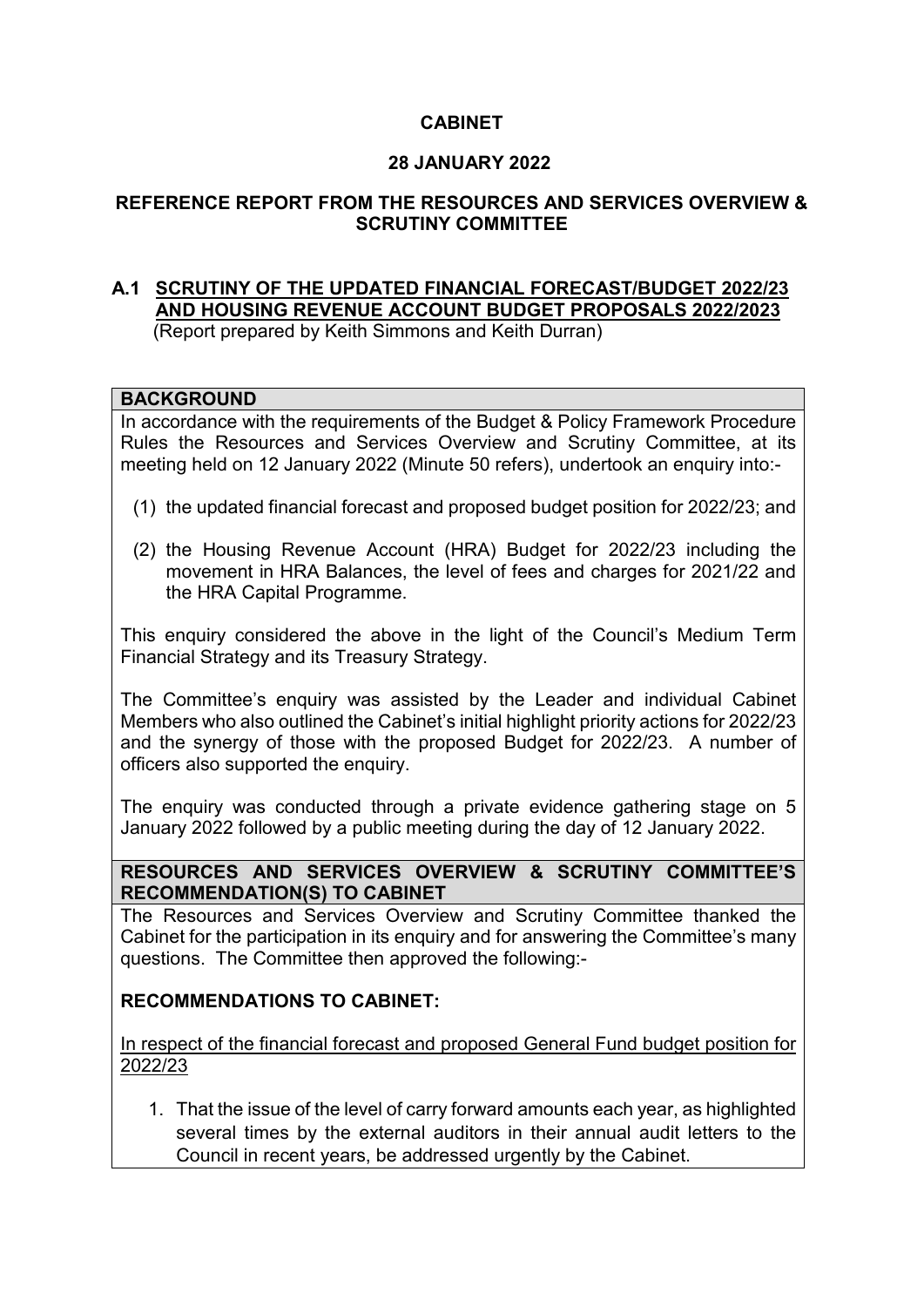## **CABINET**

## **28 JANUARY 2022**

## **REFERENCE REPORT FROM THE RESOURCES AND SERVICES OVERVIEW & SCRUTINY COMMITTEE**

### **A.1 SCRUTINY OF THE UPDATED FINANCIAL FORECAST/BUDGET 2022/23 AND HOUSING REVENUE ACCOUNT BUDGET PROPOSALS 2022/2023** (Report prepared by Keith Simmons and Keith Durran)

#### **BACKGROUND**

In accordance with the requirements of the Budget & Policy Framework Procedure Rules the Resources and Services Overview and Scrutiny Committee, at its meeting held on 12 January 2022 (Minute 50 refers), undertook an enquiry into:-

- (1) the updated financial forecast and proposed budget position for 2022/23; and
- (2) the Housing Revenue Account (HRA) Budget for 2022/23 including the movement in HRA Balances, the level of fees and charges for 2021/22 and the HRA Capital Programme.

This enquiry considered the above in the light of the Council's Medium Term Financial Strategy and its Treasury Strategy.

The Committee's enquiry was assisted by the Leader and individual Cabinet Members who also outlined the Cabinet's initial highlight priority actions for 2022/23 and the synergy of those with the proposed Budget for 2022/23. A number of officers also supported the enquiry.

The enquiry was conducted through a private evidence gathering stage on 5 January 2022 followed by a public meeting during the day of 12 January 2022.

**RESOURCES AND SERVICES OVERVIEW & SCRUTINY COMMITTEE'S RECOMMENDATION(S) TO CABINET** 

The Resources and Services Overview and Scrutiny Committee thanked the Cabinet for the participation in its enquiry and for answering the Committee's many questions. The Committee then approved the following:-

## **RECOMMENDATIONS TO CABINET:**

In respect of the financial forecast and proposed General Fund budget position for 2022/23

1. That the issue of the level of carry forward amounts each year, as highlighted several times by the external auditors in their annual audit letters to the Council in recent years, be addressed urgently by the Cabinet.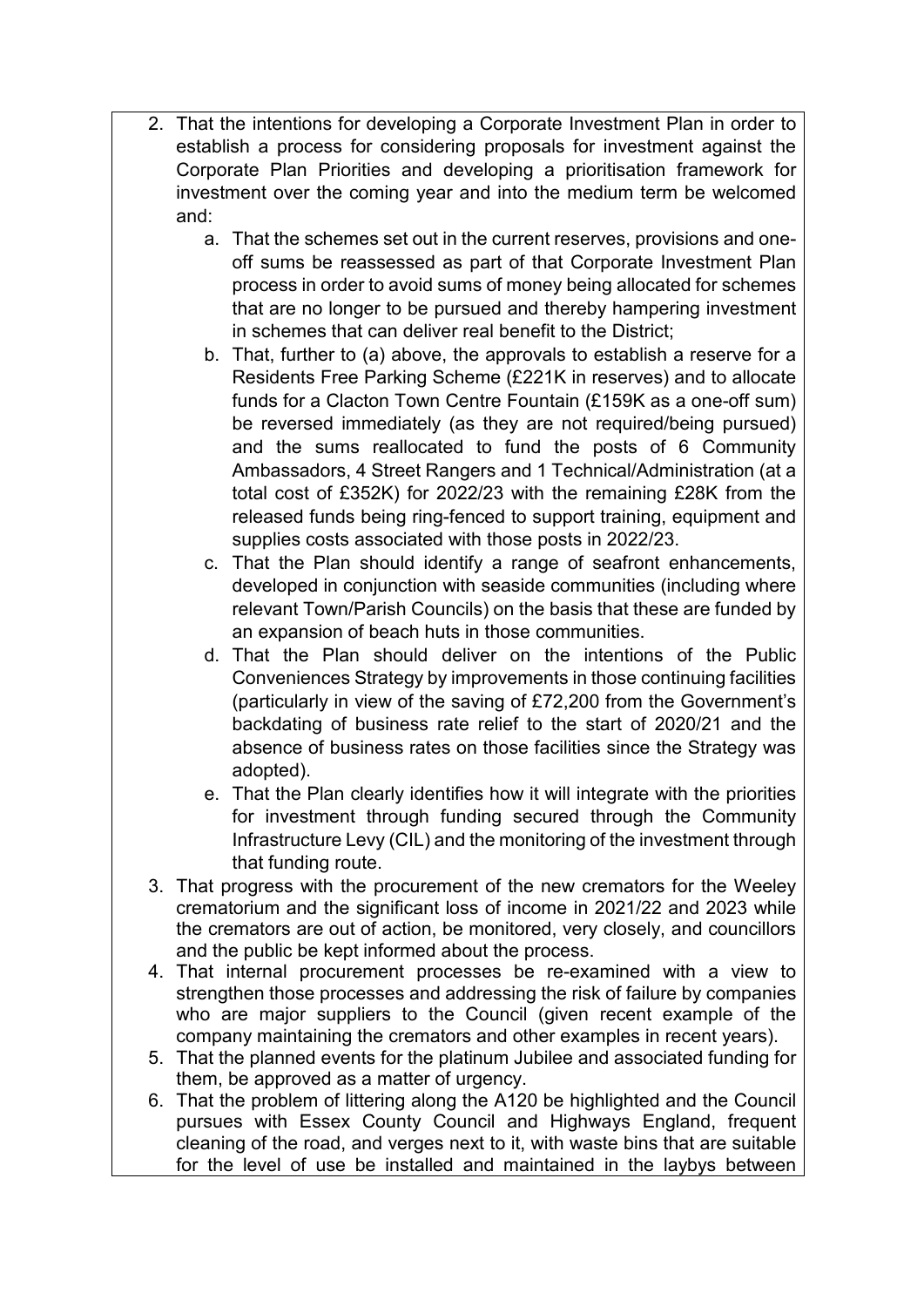- 2. That the intentions for developing a Corporate Investment Plan in order to establish a process for considering proposals for investment against the Corporate Plan Priorities and developing a prioritisation framework for investment over the coming year and into the medium term be welcomed and:
	- a. That the schemes set out in the current reserves, provisions and oneoff sums be reassessed as part of that Corporate Investment Plan process in order to avoid sums of money being allocated for schemes that are no longer to be pursued and thereby hampering investment in schemes that can deliver real benefit to the District;
	- b. That, further to (a) above, the approvals to establish a reserve for a Residents Free Parking Scheme (£221K in reserves) and to allocate funds for a Clacton Town Centre Fountain (£159K as a one-off sum) be reversed immediately (as they are not required/being pursued) and the sums reallocated to fund the posts of 6 Community Ambassadors, 4 Street Rangers and 1 Technical/Administration (at a total cost of £352K) for 2022/23 with the remaining £28K from the released funds being ring-fenced to support training, equipment and supplies costs associated with those posts in 2022/23.
	- c. That the Plan should identify a range of seafront enhancements, developed in conjunction with seaside communities (including where relevant Town/Parish Councils) on the basis that these are funded by an expansion of beach huts in those communities.
	- d. That the Plan should deliver on the intentions of the Public Conveniences Strategy by improvements in those continuing facilities (particularly in view of the saving of £72,200 from the Government's backdating of business rate relief to the start of 2020/21 and the absence of business rates on those facilities since the Strategy was adopted).
	- e. That the Plan clearly identifies how it will integrate with the priorities for investment through funding secured through the Community Infrastructure Levy (CIL) and the monitoring of the investment through that funding route.
- 3. That progress with the procurement of the new cremators for the Weeley crematorium and the significant loss of income in 2021/22 and 2023 while the cremators are out of action, be monitored, very closely, and councillors and the public be kept informed about the process.
- 4. That internal procurement processes be re-examined with a view to strengthen those processes and addressing the risk of failure by companies who are major suppliers to the Council (given recent example of the company maintaining the cremators and other examples in recent years).
- 5. That the planned events for the platinum Jubilee and associated funding for them, be approved as a matter of urgency.
- 6. That the problem of littering along the A120 be highlighted and the Council pursues with Essex County Council and Highways England, frequent cleaning of the road, and verges next to it, with waste bins that are suitable for the level of use be installed and maintained in the laybys between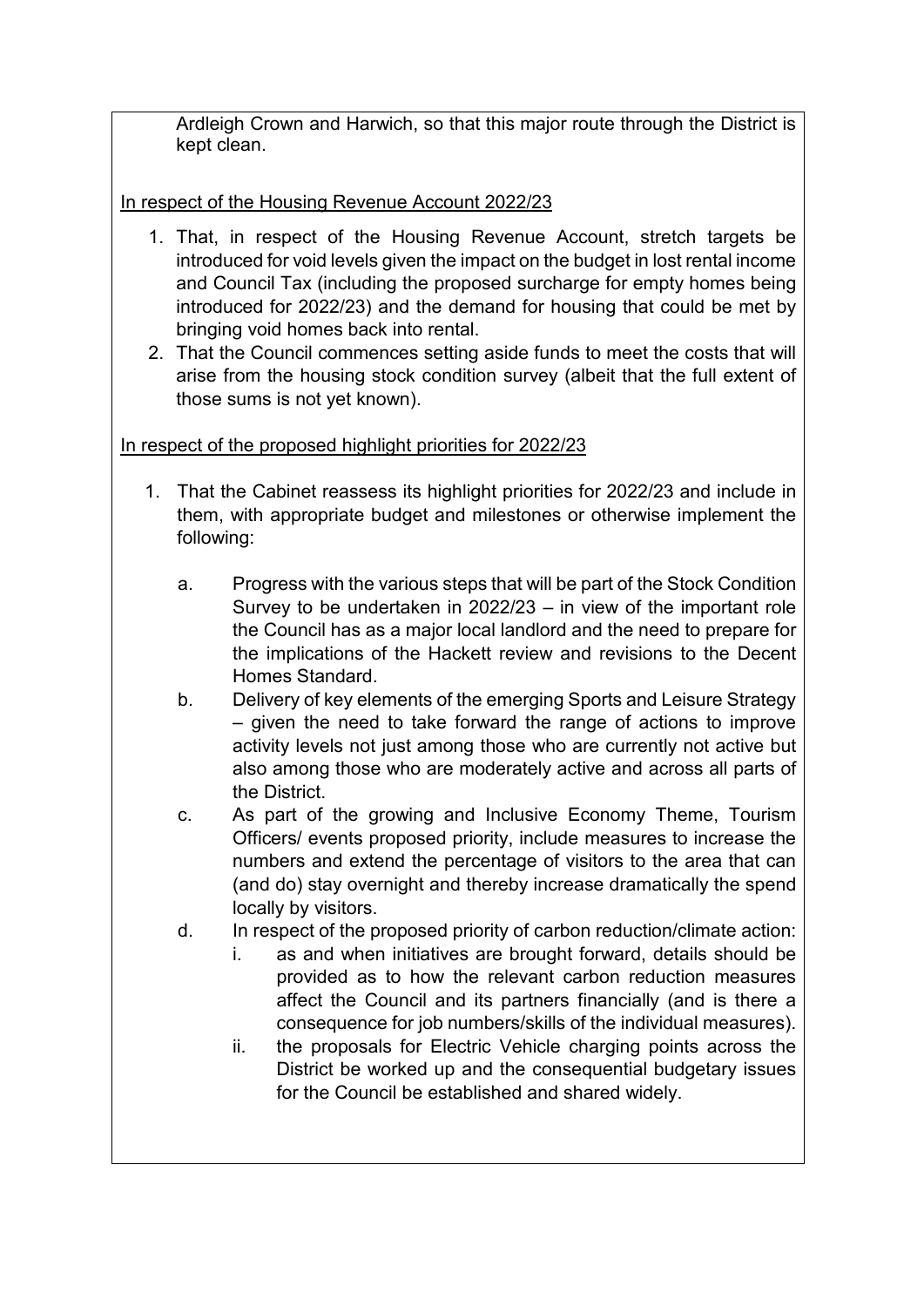Ardleigh Crown and Harwich, so that this major route through the District is kept clean.

# In respect of the Housing Revenue Account 2022/23

- 1. That, in respect of the Housing Revenue Account, stretch targets be introduced for void levels given the impact on the budget in lost rental income and Council Tax (including the proposed surcharge for empty homes being introduced for 2022/23) and the demand for housing that could be met by bringing void homes back into rental.
- 2. That the Council commences setting aside funds to meet the costs that will arise from the housing stock condition survey (albeit that the full extent of those sums is not yet known).

# In respect of the proposed highlight priorities for 2022/23

- 1. That the Cabinet reassess its highlight priorities for 2022/23 and include in them, with appropriate budget and milestones or otherwise implement the following:
	- a. Progress with the various steps that will be part of the Stock Condition Survey to be undertaken in 2022/23 – in view of the important role the Council has as a major local landlord and the need to prepare for the implications of the Hackett review and revisions to the Decent Homes Standard.
	- b. Delivery of key elements of the emerging Sports and Leisure Strategy – given the need to take forward the range of actions to improve activity levels not just among those who are currently not active but also among those who are moderately active and across all parts of the District.
	- c. As part of the growing and Inclusive Economy Theme, Tourism Officers/ events proposed priority, include measures to increase the numbers and extend the percentage of visitors to the area that can (and do) stay overnight and thereby increase dramatically the spend locally by visitors.
	- d. In respect of the proposed priority of carbon reduction/climate action:
		- i. as and when initiatives are brought forward, details should be provided as to how the relevant carbon reduction measures affect the Council and its partners financially (and is there a consequence for job numbers/skills of the individual measures).
		- ii. the proposals for Electric Vehicle charging points across the District be worked up and the consequential budgetary issues for the Council be established and shared widely.